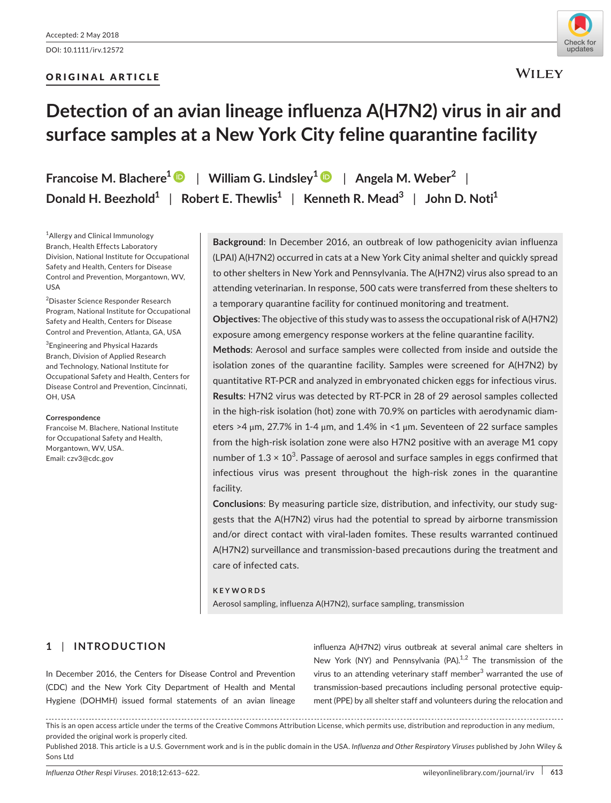# ORIGINAL ARTICLE



**WILEY** 

# **Detection of an avian lineage influenza A(H7N2) virus in air and surface samples at a New York City feline quarantine facility**

**Francoise M. Blachere[1](http://orcid.org/0000-0003-1022-9741)** | **William G. Lindsley[1](http://orcid.org/0000-0003-0720-5829)** | **Angela M. Weber<sup>2</sup>** | **Donald H. Beezhold<sup>1</sup>** | **Robert E. Thewlis<sup>1</sup>** | **Kenneth R. Mead<sup>3</sup>** | **John D. Noti<sup>1</sup>**

1 Allergy and Clinical Immunology Branch, Health Effects Laboratory Division, National Institute for Occupational Safety and Health, Centers for Disease Control and Prevention, Morgantown, WV, USA

<sup>2</sup>Disaster Science Responder Research Program, National Institute for Occupational Safety and Health, Centers for Disease Control and Prevention, Atlanta, GA, USA

3 Engineering and Physical Hazards Branch, Division of Applied Research and Technology, National Institute for Occupational Safety and Health, Centers for Disease Control and Prevention, Cincinnati, OH, USA

#### **Correspondence**

Francoise M. Blachere, National Institute for Occupational Safety and Health, Morgantown, WV, USA. Email: [czv3@cdc.gov](mailto:czv3@cdc.gov)

**Background**: In December 2016, an outbreak of low pathogenicity avian influenza (LPAI) A(H7N2) occurred in cats at a New York City animal shelter and quickly spread to other shelters in New York and Pennsylvania. The A(H7N2) virus also spread to an attending veterinarian. In response, 500 cats were transferred from these shelters to a temporary quarantine facility for continued monitoring and treatment.

**Objectives**: The objective of this study was to assess the occupational risk of A(H7N2) exposure among emergency response workers at the feline quarantine facility.

**Methods**: Aerosol and surface samples were collected from inside and outside the isolation zones of the quarantine facility. Samples were screened for A(H7N2) by quantitative RT-PCR and analyzed in embryonated chicken eggs for infectious virus. **Results**: H7N2 virus was detected by RT-PCR in 28 of 29 aerosol samples collected in the high-risk isolation (hot) zone with 70.9% on particles with aerodynamic diameters >4 μm, 27.7% in 1-4 μm, and 1.4% in <1 μm. Seventeen of 22 surface samples from the high-risk isolation zone were also H7N2 positive with an average M1 copy number of  $1.3 \times 10^3$ . Passage of aerosol and surface samples in eggs confirmed that infectious virus was present throughout the high-risk zones in the quarantine facility.

**Conclusions**: By measuring particle size, distribution, and infectivity, our study suggests that the A(H7N2) virus had the potential to spread by airborne transmission and/or direct contact with viral-laden fomites. These results warranted continued A(H7N2) surveillance and transmission-based precautions during the treatment and care of infected cats.

#### **KEYWORDS**

Aerosol sampling, influenza A(H7N2), surface sampling, transmission

# **1** | **INTRODUCTION**

In December 2016, the Centers for Disease Control and Prevention (CDC) and the New York City Department of Health and Mental Hygiene (DOHMH) issued formal statements of an avian lineage

influenza A(H7N2) virus outbreak at several animal care shelters in New York (NY) and Pennsylvania  $(PA).<sup>1,2</sup>$  The transmission of the virus to an attending veterinary staff member<sup>3</sup> warranted the use of transmission-based precautions including personal protective equipment (PPE) by all shelter staff and volunteers during the relocation and

This is an open access article under the terms of the [Creative Commons Attribution](http://creativecommons.org/licenses/by/4.0/) License, which permits use, distribution and reproduction in any medium, provided the original work is properly cited.

Published 2018. This article is a U.S. Government work and is in the public domain in the USA. *Influenza and Other Respiratory Viruses* published by John Wiley & Sons Ltd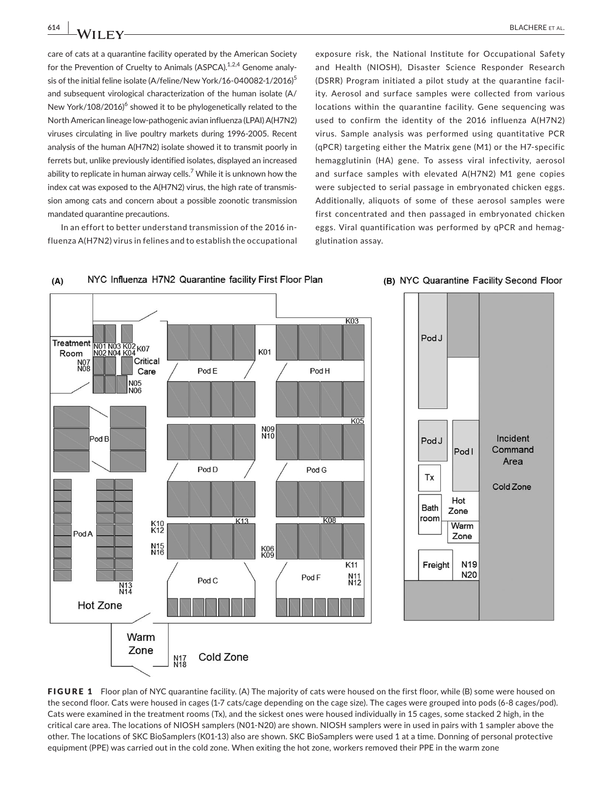care of cats at a quarantine facility operated by the American Society for the Prevention of Cruelty to Animals (ASPCA).<sup>1,2,4</sup> Genome analysis of the initial feline isolate (A/feline/New York/16-040082-1/2016)<sup>5</sup> and subsequent virological characterization of the human isolate (A/ New York/108/2016)<sup>6</sup> showed it to be phylogenetically related to the North American lineage low-pathogenic avian influenza (LPAI) A(H7N2) viruses circulating in live poultry markets during 1996-2005. Recent analysis of the human A(H7N2) isolate showed it to transmit poorly in ferrets but, unlike previously identified isolates, displayed an increased ability to replicate in human airway cells. $^7$  While it is unknown how the index cat was exposed to the A(H7N2) virus, the high rate of transmission among cats and concern about a possible zoonotic transmission mandated quarantine precautions.

In an effort to better understand transmission of the 2016 influenza A(H7N2) virus in felines and to establish the occupational

exposure risk, the National Institute for Occupational Safety and Health (NIOSH), Disaster Science Responder Research (DSRR) Program initiated a pilot study at the quarantine facility. Aerosol and surface samples were collected from various locations within the quarantine facility. Gene sequencing was used to confirm the identity of the 2016 influenza A(H7N2) virus. Sample analysis was performed using quantitative PCR (qPCR) targeting either the Matrix gene (M1) or the H7-specific hemagglutinin (HA) gene. To assess viral infectivity, aerosol and surface samples with elevated A(H7N2) M1 gene copies were subjected to serial passage in embryonated chicken eggs. Additionally, aliquots of some of these aerosol samples were first concentrated and then passaged in embryonated chicken eggs. Viral quantification was performed by qPCR and hemagglutination assay.





(B) NYC Quarantine Facility Second Floor

FIGURE 1 Floor plan of NYC quarantine facility. (A) The majority of cats were housed on the first floor, while (B) some were housed on the second floor. Cats were housed in cages (1-7 cats/cage depending on the cage size). The cages were grouped into pods (6-8 cages/pod). Cats were examined in the treatment rooms (Tx), and the sickest ones were housed individually in 15 cages, some stacked 2 high, in the critical care area. The locations of NIOSH samplers (N01-N20) are shown. NIOSH samplers were in used in pairs with 1 sampler above the other. The locations of SKC BioSamplers (K01-13) also are shown. SKC BioSamplers were used 1 at a time. Donning of personal protective equipment (PPE) was carried out in the cold zone. When exiting the hot zone, workers removed their PPE in the warm zone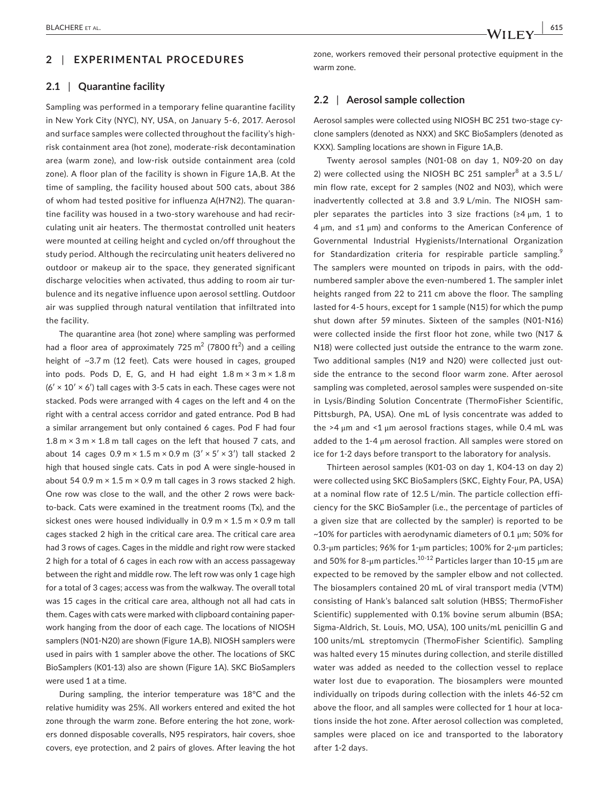#### **2** | **EXPERIMENTAL PROCEDURES**

#### **2.1** | **Quarantine facility**

Sampling was performed in a temporary feline quarantine facility in New York City (NYC), NY, USA, on January 5-6, 2017. Aerosol and surface samples were collected throughout the facility's highrisk containment area (hot zone), moderate-risk decontamination area (warm zone), and low-risk outside containment area (cold zone). A floor plan of the facility is shown in Figure 1A,B. At the time of sampling, the facility housed about 500 cats, about 386 of whom had tested positive for influenza A(H7N2). The quarantine facility was housed in a two-story warehouse and had recirculating unit air heaters. The thermostat controlled unit heaters were mounted at ceiling height and cycled on/off throughout the study period. Although the recirculating unit heaters delivered no outdoor or makeup air to the space, they generated significant discharge velocities when activated, thus adding to room air turbulence and its negative influence upon aerosol settling. Outdoor air was supplied through natural ventilation that infiltrated into the facility.

The quarantine area (hot zone) where sampling was performed had a floor area of approximately 725  $\text{m}^2$  (7800 ft<sup>2</sup>) and a ceiling height of ~3.7 m (12 feet). Cats were housed in cages, grouped into pods. Pods D, E, G, and H had eight  $1.8 \text{ m} \times 3 \text{ m} \times 1.8 \text{ m}$  $(6' \times 10' \times 6')$  tall cages with 3-5 cats in each. These cages were not stacked. Pods were arranged with 4 cages on the left and 4 on the right with a central access corridor and gated entrance. Pod B had a similar arrangement but only contained 6 cages. Pod F had four 1.8  $m \times 3$  m  $\times$  1.8 m tall cages on the left that housed 7 cats, and about 14 cages  $0.9 \text{ m} \times 1.5 \text{ m} \times 0.9 \text{ m}$  (3'  $\times$  5'  $\times$  3') tall stacked 2 high that housed single cats. Cats in pod A were single-housed in about 54 0.9 m  $\times$  1.5 m  $\times$  0.9 m tall cages in 3 rows stacked 2 high. One row was close to the wall, and the other 2 rows were backto-back. Cats were examined in the treatment rooms (Tx), and the sickest ones were housed individually in 0.9 m  $\times$  1.5 m  $\times$  0.9 m tall cages stacked 2 high in the critical care area. The critical care area had 3 rows of cages. Cages in the middle and right row were stacked 2 high for a total of 6 cages in each row with an access passageway between the right and middle row. The left row was only 1 cage high for a total of 3 cages; access was from the walkway. The overall total was 15 cages in the critical care area, although not all had cats in them. Cages with cats were marked with clipboard containing paperwork hanging from the door of each cage. The locations of NIOSH samplers (N01-N20) are shown (Figure 1A,B). NIOSH samplers were used in pairs with 1 sampler above the other. The locations of SKC BioSamplers (K01-13) also are shown (Figure 1A). SKC BioSamplers were used 1 at a time.

During sampling, the interior temperature was 18°C and the relative humidity was 25%. All workers entered and exited the hot zone through the warm zone. Before entering the hot zone, workers donned disposable coveralls, N95 respirators, hair covers, shoe covers, eye protection, and 2 pairs of gloves. After leaving the hot zone, workers removed their personal protective equipment in the warm zone.

#### **2.2** | **Aerosol sample collection**

Aerosol samples were collected using NIOSH BC 251 two-stage cyclone samplers (denoted as NXX) and SKC BioSamplers (denoted as KXX). Sampling locations are shown in Figure 1A,B.

Twenty aerosol samples (N01-08 on day 1, N09-20 on day 2) were collected using the NIOSH BC 251 sampler<sup>8</sup> at a 3.5 L/ min flow rate, except for 2 samples (N02 and N03), which were inadvertently collected at 3.8 and 3.9 L/min. The NIOSH sampler separates the particles into 3 size fractions  $(24 \mu m, 1 \text{ to})$ 4 μm, and ≤1 μm) and conforms to the American Conference of Governmental Industrial Hygienists/International Organization for Standardization criteria for respirable particle sampling.<sup>9</sup> The samplers were mounted on tripods in pairs, with the oddnumbered sampler above the even-numbered 1. The sampler inlet heights ranged from 22 to 211 cm above the floor. The sampling lasted for 4-5 hours, except for 1 sample (N15) for which the pump shut down after 59 minutes. Sixteen of the samples (N01-N16) were collected inside the first floor hot zone, while two (N17 & N18) were collected just outside the entrance to the warm zone. Two additional samples (N19 and N20) were collected just outside the entrance to the second floor warm zone. After aerosol sampling was completed, aerosol samples were suspended on-site in Lysis/Binding Solution Concentrate (ThermoFisher Scientific, Pittsburgh, PA, USA). One mL of lysis concentrate was added to the  $>4 \mu m$  and  $< 1 \mu m$  aerosol fractions stages, while 0.4 mL was added to the 1-4 μm aerosol fraction. All samples were stored on ice for 1-2 days before transport to the laboratory for analysis.

Thirteen aerosol samples (K01-03 on day 1, K04-13 on day 2) were collected using SKC BioSamplers (SKC, Eighty Four, PA, USA) at a nominal flow rate of 12.5 L/min. The particle collection efficiency for the SKC BioSampler (i.e., the percentage of particles of a given size that are collected by the sampler) is reported to be ~10% for particles with aerodynamic diameters of 0.1 μm; 50% for 0.3-μm particles; 96% for 1-μm particles; 100% for 2-μm particles; and 50% for 8-μm particles.<sup>10-12</sup> Particles larger than 10-15 μm are expected to be removed by the sampler elbow and not collected. The biosamplers contained 20 mL of viral transport media (VTM) consisting of Hank's balanced salt solution (HBSS; ThermoFisher Scientific) supplemented with 0.1% bovine serum albumin (BSA; Sigma-Aldrich, St. Louis, MO, USA), 100 units/mL penicillin G and 100 units/mL streptomycin (ThermoFisher Scientific). Sampling was halted every 15 minutes during collection, and sterile distilled water was added as needed to the collection vessel to replace water lost due to evaporation. The biosamplers were mounted individually on tripods during collection with the inlets 46-52 cm above the floor, and all samples were collected for 1 hour at locations inside the hot zone. After aerosol collection was completed, samples were placed on ice and transported to the laboratory after 1-2 days.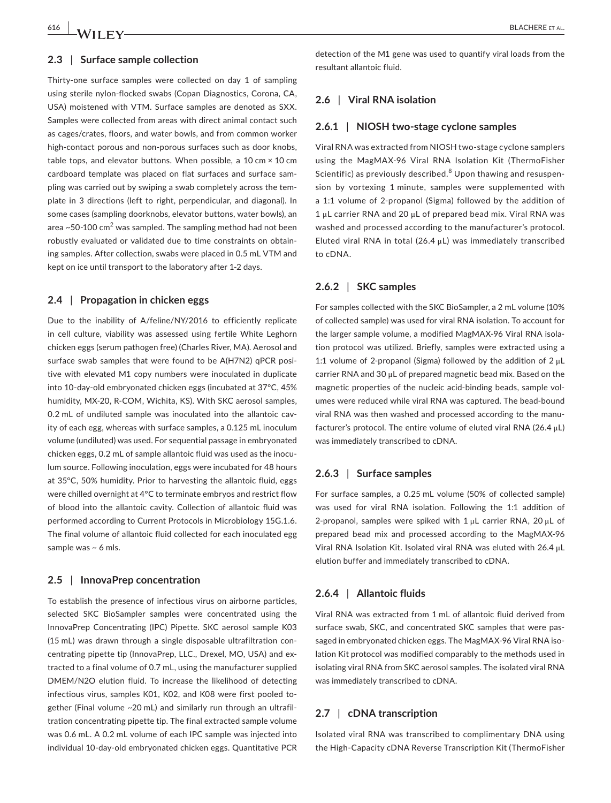#### **2.3** | **Surface sample collection**

Thirty-one surface samples were collected on day 1 of sampling using sterile nylon-flocked swabs (Copan Diagnostics, Corona, CA, USA) moistened with VTM. Surface samples are denoted as SXX. Samples were collected from areas with direct animal contact such as cages/crates, floors, and water bowls, and from common worker high-contact porous and non-porous surfaces such as door knobs, table tops, and elevator buttons. When possible, a 10 cm  $\times$  10 cm cardboard template was placed on flat surfaces and surface sampling was carried out by swiping a swab completely across the template in 3 directions (left to right, perpendicular, and diagonal). In some cases (sampling doorknobs, elevator buttons, water bowls), an area ~50-100  $\textsf{cm}^{2}$  was sampled. The sampling method had not been robustly evaluated or validated due to time constraints on obtaining samples. After collection, swabs were placed in 0.5 mL VTM and kept on ice until transport to the laboratory after 1-2 days.

#### **2.4** | **Propagation in chicken eggs**

Due to the inability of A/feline/NY/2016 to efficiently replicate in cell culture, viability was assessed using fertile White Leghorn chicken eggs (serum pathogen free) (Charles River, MA). Aerosol and surface swab samples that were found to be A(H7N2) qPCR positive with elevated M1 copy numbers were inoculated in duplicate into 10-day-old embryonated chicken eggs (incubated at 37°C, 45% humidity, MX-20, R-COM, Wichita, KS). With SKC aerosol samples, 0.2 mL of undiluted sample was inoculated into the allantoic cavity of each egg, whereas with surface samples, a 0.125 mL inoculum volume (undiluted) was used. For sequential passage in embryonated chicken eggs, 0.2 mL of sample allantoic fluid was used as the inoculum source. Following inoculation, eggs were incubated for 48 hours at 35°C, 50% humidity. Prior to harvesting the allantoic fluid, eggs were chilled overnight at 4°C to terminate embryos and restrict flow of blood into the allantoic cavity. Collection of allantoic fluid was performed according to Current Protocols in Microbiology 15G.1.6. The final volume of allantoic fluid collected for each inoculated egg sample was  $\sim$  6 mls.

#### **2.5** | **InnovaPrep concentration**

To establish the presence of infectious virus on airborne particles, selected SKC BioSampler samples were concentrated using the InnovaPrep Concentrating (IPC) Pipette. SKC aerosol sample K03 (15 mL) was drawn through a single disposable ultrafiltration concentrating pipette tip (InnovaPrep, LLC., Drexel, MO, USA) and extracted to a final volume of 0.7 mL, using the manufacturer supplied DMEM/N2O elution fluid. To increase the likelihood of detecting infectious virus, samples K01, K02, and K08 were first pooled together (Final volume ~20 mL) and similarly run through an ultrafiltration concentrating pipette tip. The final extracted sample volume was 0.6 mL. A 0.2 mL volume of each IPC sample was injected into individual 10-day-old embryonated chicken eggs. Quantitative PCR

**616 |**  BLACHERE et al.

detection of the M1 gene was used to quantify viral loads from the resultant allantoic fluid.

#### **2.6** | **Viral RNA isolation**

#### **2.6.1** | **NIOSH two-stage cyclone samples**

Viral RNA was extracted from NIOSH two-stage cyclone samplers using the MagMAX-96 Viral RNA Isolation Kit (ThermoFisher Scientific) as previously described.<sup>8</sup> Upon thawing and resuspension by vortexing 1 minute, samples were supplemented with a 1:1 volume of 2-propanol (Sigma) followed by the addition of 1 μL carrier RNA and 20 μL of prepared bead mix. Viral RNA was washed and processed according to the manufacturer's protocol. Eluted viral RNA in total (26.4 μL) was immediately transcribed to cDNA.

#### **2.6.2** | **SKC samples**

For samples collected with the SKC BioSampler, a 2 mL volume (10% of collected sample) was used for viral RNA isolation. To account for the larger sample volume, a modified MagMAX-96 Viral RNA isolation protocol was utilized. Briefly, samples were extracted using a 1:1 volume of 2-propanol (Sigma) followed by the addition of 2 μL carrier RNA and 30 μL of prepared magnetic bead mix. Based on the magnetic properties of the nucleic acid-binding beads, sample volumes were reduced while viral RNA was captured. The bead-bound viral RNA was then washed and processed according to the manufacturer's protocol. The entire volume of eluted viral RNA (26.4  $\mu$ L) was immediately transcribed to cDNA.

#### **2.6.3** | **Surface samples**

For surface samples, a 0.25 mL volume (50% of collected sample) was used for viral RNA isolation. Following the 1:1 addition of 2-propanol, samples were spiked with  $1 \mu$ L carrier RNA, 20  $\mu$ L of prepared bead mix and processed according to the MagMAX-96 Viral RNA Isolation Kit. Isolated viral RNA was eluted with 26.4 μL elution buffer and immediately transcribed to cDNA.

#### **2.6.4** | **Allantoic fluids**

Viral RNA was extracted from 1 mL of allantoic fluid derived from surface swab, SKC, and concentrated SKC samples that were passaged in embryonated chicken eggs. The MagMAX-96 Viral RNA isolation Kit protocol was modified comparably to the methods used in isolating viral RNA from SKC aerosol samples. The isolated viral RNA was immediately transcribed to cDNA.

#### **2.7** | **cDNA transcription**

Isolated viral RNA was transcribed to complimentary DNA using the High-Capacity cDNA Reverse Transcription Kit (ThermoFisher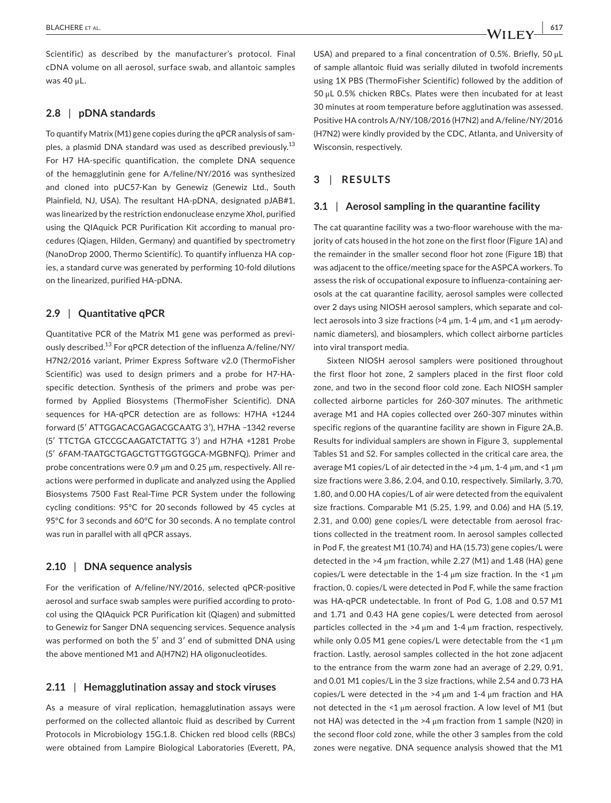Scientific) as described by the manufacturer's protocol. Final cDNA volume on all aerosol, surface swab, and allantoic samples was 40 μL.

## **2.8** | **pDNA standards**

To quantify Matrix (M1) gene copies during the qPCR analysis of samples, a plasmid DNA standard was used as described previously.<sup>13</sup> For H7 HA-specific quantification, the complete DNA sequence of the hemagglutinin gene for A/feline/NY/2016 was synthesized and cloned into pUC57-Kan by Genewiz (Genewiz Ltd., South Plainfield, NJ, USA). The resultant HA-pDNA, designated pJAB#1, was linearized by the restriction endonuclease enzyme *Xho*I, purified using the QIAquick PCR Purification Kit according to manual procedures (Qiagen, Hilden, Germany) and quantified by spectrometry (NanoDrop 2000, Thermo Scientific). To quantify influenza HA copies, a standard curve was generated by performing 10-fold dilutions on the linearized, purified HA-pDNA.

## **2.9** | **Quantitative qPCR**

Quantitative PCR of the Matrix M1 gene was performed as previously described.<sup>13</sup> For qPCR detection of the influenza A/feline/NY/ H7N2/2016 variant, Primer Express Software v2.0 (ThermoFisher Scientific) was used to design primers and a probe for H7-HAspecific detection. Synthesis of the primers and probe was performed by Applied Biosystems (ThermoFisher Scientific). DNA sequences for HA-qPCR detection are as follows: H7HA +1244 forward (5′ ATTGGACACGAGACGCAATG 3′), H7HA −1342 reverse (5′ TTCTGA GTCCGCAAGATCTATTG 3′) and H7HA +1281 Probe (5′ 6FAM-TAATGCTGAGCTGTTGGTGGCA-MGBNFQ). Primer and probe concentrations were 0.9 μm and 0.25 μm, respectively. All reactions were performed in duplicate and analyzed using the Applied Biosystems 7500 Fast Real-Time PCR System under the following cycling conditions: 95°C for 20 seconds followed by 45 cycles at 95°C for 3 seconds and 60°C for 30 seconds. A no template control was run in parallel with all qPCR assays.

#### **2.10** | **DNA sequence analysis**

For the verification of A/feline/NY/2016, selected qPCR-positive aerosol and surface swab samples were purified according to protocol using the QIAquick PCR Purification kit (Qiagen) and submitted to Genewiz for Sanger DNA sequencing services. Sequence analysis was performed on both the 5′ and 3′ end of submitted DNA using the above mentioned M1 and A(H7N2) HA oligonucleotides.

## **2.11** | **Hemagglutination assay and stock viruses**

As a measure of viral replication, hemagglutination assays were performed on the collected allantoic fluid as described by Current Protocols in Microbiology 15G.1.8. Chicken red blood cells (RBCs) were obtained from Lampire Biological Laboratories (Everett, PA,

USA) and prepared to a final concentration of 0.5%. Briefly, 50 μL of sample allantoic fluid was serially diluted in twofold increments using 1X PBS (ThermoFisher Scientific) followed by the addition of 50 μL 0.5% chicken RBCs. Plates were then incubated for at least 30 minutes at room temperature before agglutination was assessed. Positive HA controls A/NY/108/2016 (H7N2) and A/feline/NY/2016 (H7N2) were kindly provided by the CDC, Atlanta, and University of Wisconsin, respectively.

## **3** | **RESULTS**

#### **3.1** | **Aerosol sampling in the quarantine facility**

The cat quarantine facility was a two-floor warehouse with the majority of cats housed in the hot zone on the first floor (Figure 1A) and the remainder in the smaller second floor hot zone (Figure 1B) that was adjacent to the office/meeting space for the ASPCA workers. To assess the risk of occupational exposure to influenza-containing aerosols at the cat quarantine facility, aerosol samples were collected over 2 days using NIOSH aerosol samplers, which separate and collect aerosols into 3 size fractions (>4 μm, 1-4 μm, and <1 μm aerodynamic diameters), and biosamplers, which collect airborne particles into viral transport media.

Sixteen NIOSH aerosol samplers were positioned throughout the first floor hot zone, 2 samplers placed in the first floor cold zone, and two in the second floor cold zone. Each NIOSH sampler collected airborne particles for 260-307 minutes. The arithmetic average M1 and HA copies collected over 260-307 minutes within specific regions of the quarantine facility are shown in Figure 2A,B. Results for individual samplers are shown in Figure 3, supplemental Tables S1 and S2. For samples collected in the critical care area, the average M1 copies/L of air detected in the >4 μm, 1-4 μm, and <1 μm size fractions were 3.86, 2.04, and 0.10, respectively. Similarly, 3.70, 1.80, and 0.00 HA copies/L of air were detected from the equivalent size fractions. Comparable M1 (5.25, 1.99, and 0.06) and HA (5.19, 2.31, and 0.00) gene copies/L were detectable from aerosol fractions collected in the treatment room. In aerosol samples collected in Pod F, the greatest M1 (10.74) and HA (15.73) gene copies/L were detected in the >4 μm fraction, while 2.27 (M1) and 1.48 (HA) gene copies/L were detectable in the 1-4  $\mu$ m size fraction. In the <1  $\mu$ m fraction, 0. copies/L were detected in Pod F, while the same fraction was HA-qPCR undetectable. In front of Pod G, 1.08 and 0.57 M1 and 1.71 and 0.43 HA gene copies/L were detected from aerosol particles collected in the  $>4 \mu m$  and 1-4  $\mu m$  fraction, respectively, while only 0.05 M1 gene copies/L were detectable from the <1 μm fraction. Lastly, aerosol samples collected in the hot zone adjacent to the entrance from the warm zone had an average of 2.29, 0.91, and 0.01 M1 copies/L in the 3 size fractions, while 2.54 and 0.73 HA copies/L were detected in the  $>4 \mu m$  and 1-4  $\mu m$  fraction and HA not detected in the <1 μm aerosol fraction. A low level of M1 (but not HA) was detected in the >4 μm fraction from 1 sample (N20) in the second floor cold zone, while the other 3 samples from the cold zones were negative. DNA sequence analysis showed that the M1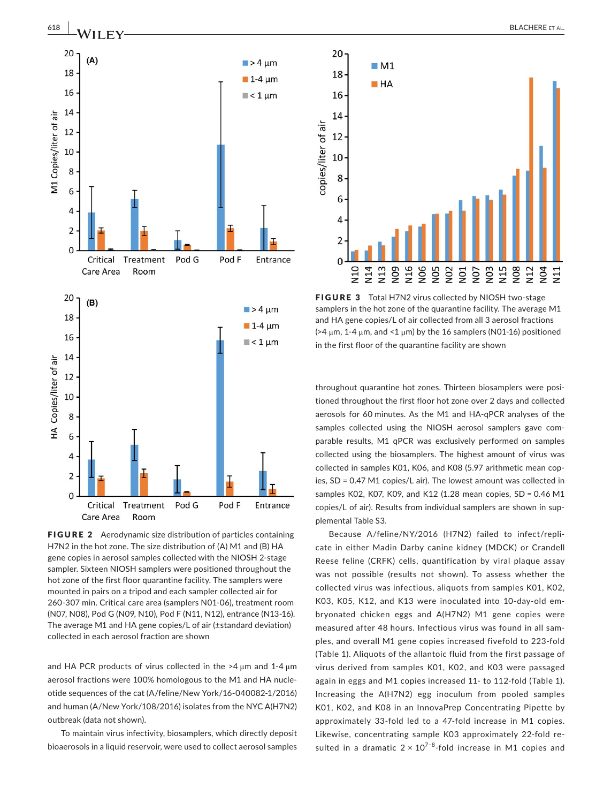

FIGURE 2 Aerodynamic size distribution of particles containing H7N2 in the hot zone. The size distribution of (A) M1 and (B) HA gene copies in aerosol samples collected with the NIOSH 2-stage sampler. Sixteen NIOSH samplers were positioned throughout the hot zone of the first floor quarantine facility. The samplers were mounted in pairs on a tripod and each sampler collected air for 260-307 min. Critical care area (samplers N01-06), treatment room (N07, N08), Pod G (N09, N10), Pod F (N11, N12), entrance (N13-16). The average M1 and HA gene copies/L of air (±standard deviation) collected in each aerosol fraction are shown

and HA PCR products of virus collected in the  $>4 \mu m$  and 1-4  $\mu m$ aerosol fractions were 100% homologous to the M1 and HA nucleotide sequences of the cat (A/feline/New York/16-040082-1/2016) and human (A/New York/108/2016) isolates from the NYC A(H7N2) outbreak (data not shown).

To maintain virus infectivity, biosamplers, which directly deposit bioaerosols in a liquid reservoir, were used to collect aerosol samples



FIGURE 3 Total H7N2 virus collected by NIOSH two-stage samplers in the hot zone of the quarantine facility. The average M1 and HA gene copies/L of air collected from all 3 aerosol fractions ( $>4 \mu$ m, 1-4  $\mu$ m, and <1  $\mu$ m) by the 16 samplers (N01-16) positioned in the first floor of the quarantine facility are shown

throughout quarantine hot zones. Thirteen biosamplers were positioned throughout the first floor hot zone over 2 days and collected aerosols for 60 minutes. As the M1 and HA-qPCR analyses of the samples collected using the NIOSH aerosol samplers gave comparable results, M1 qPCR was exclusively performed on samples collected using the biosamplers. The highest amount of virus was collected in samples K01, K06, and K08 (5.97 arithmetic mean copies, SD = 0.47 M1 copies/L air). The lowest amount was collected in samples K02, K07, K09, and K12 (1.28 mean copies, SD = 0.46 M1 copies/L of air). Results from individual samplers are shown in supplemental Table S3.

Because A/feline/NY/2016 (H7N2) failed to infect/replicate in either Madin Darby canine kidney (MDCK) or Crandell Reese feline (CRFK) cells, quantification by viral plaque assay was not possible (results not shown). To assess whether the collected virus was infectious, aliquots from samples K01, K02, K03, K05, K12, and K13 were inoculated into 10-day-old embryonated chicken eggs and A(H7N2) M1 gene copies were measured after 48 hours. Infectious virus was found in all samples, and overall M1 gene copies increased fivefold to 223-fold (Table 1). Aliquots of the allantoic fluid from the first passage of virus derived from samples K01, K02, and K03 were passaged again in eggs and M1 copies increased 11- to 112-fold (Table 1). Increasing the A(H7N2) egg inoculum from pooled samples K01, K02, and K08 in an InnovaPrep Concentrating Pipette by approximately 33-fold led to a 47-fold increase in M1 copies. Likewise, concentrating sample K03 approximately 22-fold resulted in a dramatic  $2 \times 10^{7-8}$ -fold increase in M1 copies and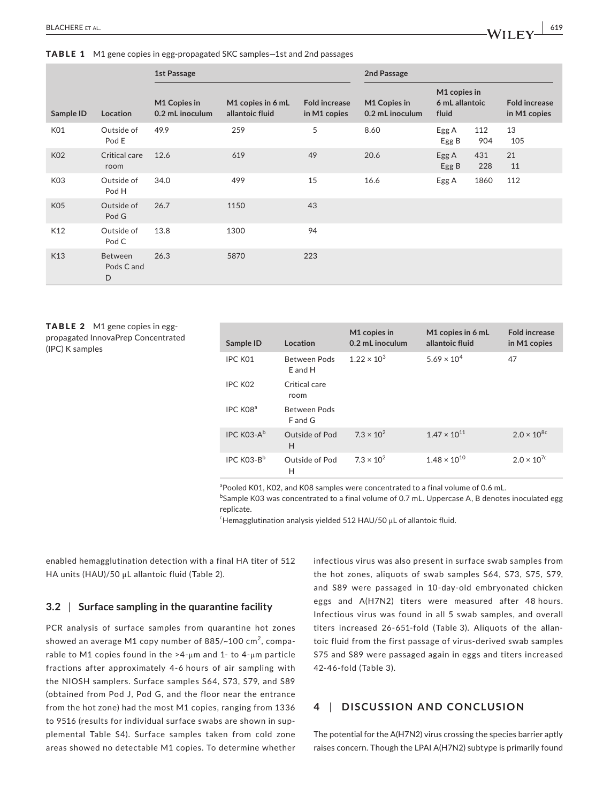|                 |                                   | 1st Passage                     |                                      |                                      | 2nd Passage                     |                                         |            |                                      |
|-----------------|-----------------------------------|---------------------------------|--------------------------------------|--------------------------------------|---------------------------------|-----------------------------------------|------------|--------------------------------------|
| Sample ID       | Location                          | M1 Copies in<br>0.2 mL inoculum | M1 copies in 6 mL<br>allantoic fluid | <b>Fold increase</b><br>in M1 copies | M1 Copies in<br>0.2 mL inoculum | M1 copies in<br>6 mL allantoic<br>fluid |            | <b>Fold increase</b><br>in M1 copies |
| K01             | Outside of<br>Pod E               | 49.9                            | 259                                  | 5                                    | 8.60                            | Egg A<br>Egg B                          | 112<br>904 | 13<br>105                            |
| <b>K02</b>      | Critical care<br>room             | 12.6                            | 619                                  | 49                                   | 20.6                            | Egg A<br>Egg B                          | 431<br>228 | 21<br>11                             |
| K <sub>03</sub> | Outside of<br>Pod H               | 34.0                            | 499                                  | 15                                   | 16.6                            | Egg A                                   | 1860       | 112                                  |
| <b>K05</b>      | Outside of<br>Pod G               | 26.7                            | 1150                                 | 43                                   |                                 |                                         |            |                                      |
| K12             | Outside of<br>Pod C               | 13.8                            | 1300                                 | 94                                   |                                 |                                         |            |                                      |
| K13             | <b>Between</b><br>Pods C and<br>D | 26.3                            | 5870                                 | 223                                  |                                 |                                         |            |                                      |

TABLE 2 M1 gene copies in eggpropagated InnovaPrep Concentrated (IPC) K samples

| Sample ID              | Location                | M1 copies in<br>0.2 mL inoculum | M1 copies in 6 mL<br>allantoic fluid | <b>Fold increase</b><br>in M1 copies |
|------------------------|-------------------------|---------------------------------|--------------------------------------|--------------------------------------|
| IPC K01                | Between Pods<br>E and H | $1.22 \times 10^{3}$            | $5.69 \times 10^{4}$                 | 47                                   |
| IPC KO <sub>2</sub>    | Critical care<br>room   |                                 |                                      |                                      |
| IPC K08 <sup>a</sup>   | Between Pods<br>F and G |                                 |                                      |                                      |
| IPC $K$ 03- $A^b$      | Outside of Pod<br>Н     | $7.3 \times 10^{2}$             | $1.47 \times 10^{11}$                | $2.0 \times 10^{8c}$                 |
| IPC K03-B <sup>b</sup> | Outside of Pod<br>н     | $7.3 \times 10^{2}$             | $1.48 \times 10^{10}$                | $2.0 \times 10^{7c}$                 |

<sup>a</sup> Pooled K01, K02, and K08 samples were concentrated to a final volume of 0.6 mL.

<sup>b</sup>Sample K03 was concentrated to a final volume of 0.7 mL. Uppercase A, B denotes inoculated egg replicate.

 $\epsilon$ Hemagglutination analysis yielded 512 HAU/50 μL of allantoic fluid.

enabled hemagglutination detection with a final HA titer of 512 HA units (HAU)/50 μL allantoic fluid (Table 2).

## **3.2** | **Surface sampling in the quarantine facility**

PCR analysis of surface samples from quarantine hot zones showed an average M1 copy number of 885/ $\sim$ 100 cm<sup>2</sup>, comparable to M1 copies found in the >4-μm and 1- to 4-μm particle fractions after approximately 4-6 hours of air sampling with the NIOSH samplers. Surface samples S64, S73, S79, and S89 (obtained from Pod J, Pod G, and the floor near the entrance from the hot zone) had the most M1 copies, ranging from 1336 to 9516 (results for individual surface swabs are shown in supplemental Table S4). Surface samples taken from cold zone areas showed no detectable M1 copies. To determine whether

infectious virus was also present in surface swab samples from the hot zones, aliquots of swab samples S64, S73, S75, S79, and S89 were passaged in 10-day-old embryonated chicken eggs and A(H7N2) titers were measured after 48 hours. Infectious virus was found in all 5 swab samples, and overall titers increased 26-651-fold (Table 3). Aliquots of the allantoic fluid from the first passage of virus-derived swab samples S75 and S89 were passaged again in eggs and titers increased 42-46-fold (Table 3).

## **4** | **DISCUSSION AND CONCLUSION**

The potential for the A(H7N2) virus crossing the species barrier aptly raises concern. Though the LPAI A(H7N2) subtype is primarily found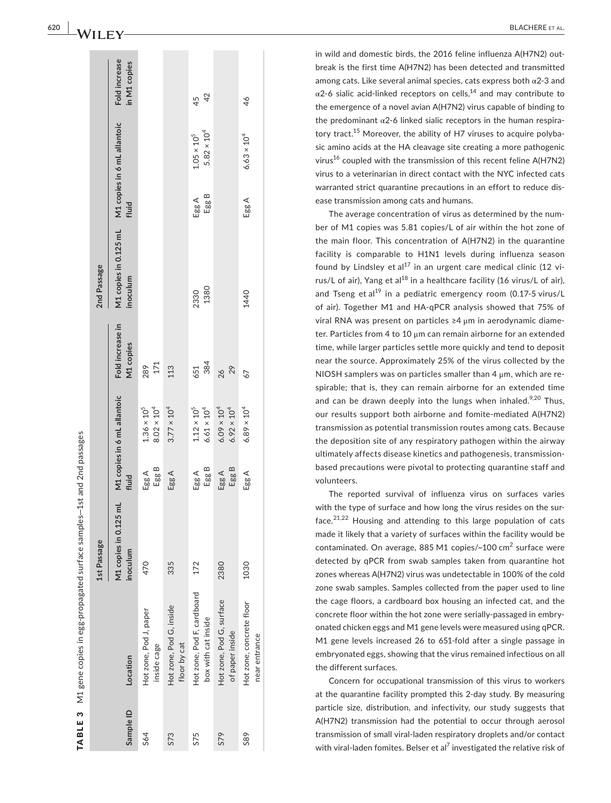|           |                                                   | 1st Passage                       |                |                                              |                               | 2nd Passage                                                   |                |                                              |                               |
|-----------|---------------------------------------------------|-----------------------------------|----------------|----------------------------------------------|-------------------------------|---------------------------------------------------------------|----------------|----------------------------------------------|-------------------------------|
| Sample ID | Location                                          | M1 copies in 0.125 mL<br>inoculum | fluid          | M1 copies in 6 mL allantoic                  | Fold increase in<br>M1 copies | M1 copies in 0.125 mL M1 copies in 6 mL allantoic<br>inoculum | fluid          |                                              | Fold increase<br>in M1 copies |
| 564       | Hot zone, Pod J, paper<br>inside cage             | 470                               | Egg B<br>Egg A | $8.02\times10^4$<br>$1.36 \times 10^{5}$     | 171<br>289                    |                                                               |                |                                              |                               |
| S73       | Hot zone, Pod G, inside<br>floor by cat           | 335                               | Egg A          | $3.77 \times 10^{4}$                         | 113                           |                                                               |                |                                              |                               |
| S75       | Hot zone, Pod F, cardboard<br>box with cat inside | 172                               | Egg B<br>Egg A | $1.12\times10^5$<br>$6.61 \times 10^4$       | 384<br>651                    | 1380<br>2330                                                  | Egg B<br>Egg A | $5.82 \times 10^{4}$<br>$1.05 \times 10^{5}$ | 42<br>45                      |
| S79       | Hot zone, Pod G, surface<br>of paper inside       | 2380                              | Egg B<br>Egg A | $6.09 \times 10^{4}$<br>$6.92 \times 10^{4}$ | 29<br>26                      |                                                               |                |                                              |                               |
| S89       | Hot zone, concrete floor<br>near entrance         | 1030                              | Egg A          | $6.89 \times 10^{4}$                         | 67                            | 1440                                                          | Egg A          | $6.63 \times 10^{4}$                         | 46                            |
|           |                                                   |                                   |                |                                              |                               |                                                               |                |                                              |                               |

in wild and domestic birds, the 2016 feline influenza A(H7N2) out break is the first time A(H7N2) has been detected and transmitted among cats. Like several animal species, cats express both  $\alpha$ 2-3 and  $\alpha$ 2-6 sialic acid-linked receptors on cells,<sup>14</sup> and may contribute to the emergence of a novel avian A(H7N2) virus capable of binding to the predominant  $\alpha$ 2-6 linked sialic receptors in the human respiratory tract.<sup>15</sup> Moreover, the ability of H7 viruses to acquire polybasic amino acids at the HA cleavage site creating a more pathogenic virus<sup>16</sup> coupled with the transmission of this recent feline  $A(H7N2)$ virus to a veterinarian in direct contact with the NYC infected cats warranted strict quarantine precautions in an effort to reduce dis ease transmission among cats and humans.

The average concentration of virus as determined by the num ber of M1 copies was 5.81 copies/L of air within the hot zone of the main floor. This concentration of A(H7N2) in the quarantine facility is comparable to H1N1 levels during influenza season found by Lindsley et al<sup>17</sup> in an urgent care medical clinic (12 virus/L of air), Yang et al $^{18}$  in a healthcare facility (16 virus/L of air), and Tseng et al<sup>19</sup> in a pediatric emergency room (0.17-5 virus/L of air). Together M1 and HA-qPCR analysis showed that 75% of viral RNA was present on particles ≥4 μm in aerodynamic diame ter. Particles from 4 to 10 μm can remain airborne for an extended time, while larger particles settle more quickly and tend to deposit near the source. Approximately 25% of the virus collected by the NIOSH samplers was on particles smaller than 4  $\mu$ m, which are respirable; that is, they can remain airborne for an extended time and can be drawn deeply into the lungs when inhaled. $9,20$  Thus, our results support both airborne and fomite-mediated A(H7N2) transmission as potential transmission routes among cats. Because the deposition site of any respiratory pathogen within the airway ultimately affects disease kinetics and pathogenesis, transmissionbased precautions were pivotal to protecting quarantine staff and volunteers.

The reported survival of influenza virus on surfaces varies with the type of surface and how long the virus resides on the sur face.<sup>21,22</sup> Housing and attending to this large population of cats made it likely that a variety of surfaces within the facility would be contaminated. On average, 885 M1 copies/~100 cm<sup>2</sup> surface were detected by qPCR from swab samples taken from quarantine hot zones whereas A(H7N2) virus was undetectable in 100% of the cold zone swab samples. Samples collected from the paper used to line the cage floors, a cardboard box housing an infected cat, and the concrete floor within the hot zone were serially-passaged in embry onated chicken eggs and M1 gene levels were measured using qPCR. M1 gene levels increased 26 to 651-fold after a single passage in embryonated eggs, showing that the virus remained infectious on all the different surfaces.

Concern for occupational transmission of this virus to workers at the quarantine facility prompted this 2-day study. By measuring particle size, distribution, and infectivity, our study suggests that A(H7N2) transmission had the potential to occur through aerosol transmission of small viral-laden respiratory droplets and/or contact with viral-laden fomites. Belser et al<sup>7</sup> investigated the relative risk of

TABLE 3

TABLE 3

M1 gene copies in egg-propagated surface samples—1st and 2nd passages

M1 gene copies in egg-propagated surface samples-1st and 2nd passages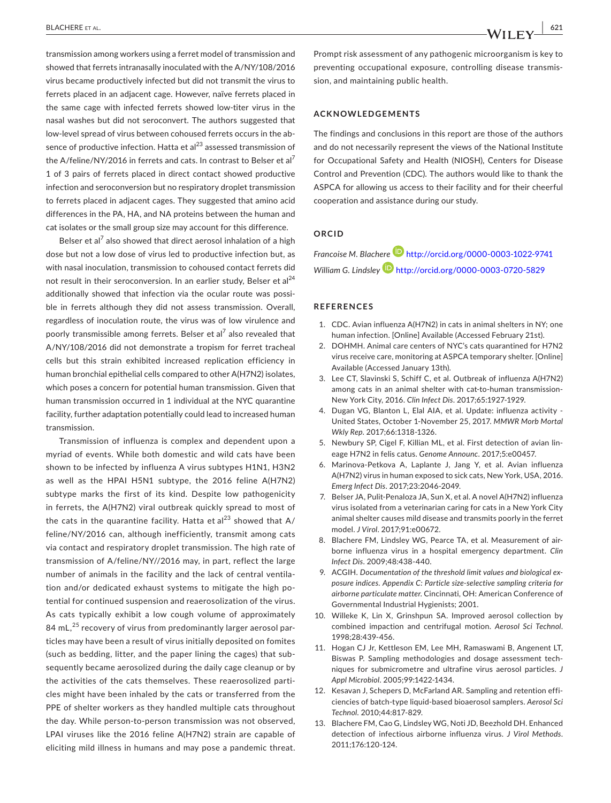transmission among workers using a ferret model of transmission and showed that ferrets intranasally inoculated with the A/NY/108/2016 virus became productively infected but did not transmit the virus to ferrets placed in an adjacent cage. However, naïve ferrets placed in the same cage with infected ferrets showed low-titer virus in the nasal washes but did not seroconvert. The authors suggested that low-level spread of virus between cohoused ferrets occurs in the absence of productive infection. Hatta et  $al^{23}$  assessed transmission of the A/feline/NY/2016 in ferrets and cats. In contrast to Belser et al<sup>7</sup> 1 of 3 pairs of ferrets placed in direct contact showed productive infection and seroconversion but no respiratory droplet transmission to ferrets placed in adjacent cages. They suggested that amino acid differences in the PA, HA, and NA proteins between the human and cat isolates or the small group size may account for this difference.

Belser et al $^7$  also showed that direct aerosol inhalation of a high dose but not a low dose of virus led to productive infection but, as with nasal inoculation, transmission to cohoused contact ferrets did not result in their seroconversion. In an earlier study, Belser et al<sup>24</sup> additionally showed that infection via the ocular route was possible in ferrets although they did not assess transmission. Overall, regardless of inoculation route, the virus was of low virulence and poorly transmissible among ferrets. Belser et al<sup>7</sup> also revealed that A/NY/108/2016 did not demonstrate a tropism for ferret tracheal cells but this strain exhibited increased replication efficiency in human bronchial epithelial cells compared to other A(H7N2) isolates, which poses a concern for potential human transmission. Given that human transmission occurred in 1 individual at the NYC quarantine facility, further adaptation potentially could lead to increased human transmission.

Transmission of influenza is complex and dependent upon a myriad of events. While both domestic and wild cats have been shown to be infected by influenza A virus subtypes H1N1, H3N2 as well as the HPAI H5N1 subtype, the 2016 feline A(H7N2) subtype marks the first of its kind. Despite low pathogenicity in ferrets, the A(H7N2) viral outbreak quickly spread to most of the cats in the quarantine facility. Hatta et al<sup>23</sup> showed that  $A/$ feline/NY/2016 can, although inefficiently, transmit among cats via contact and respiratory droplet transmission. The high rate of transmission of A/feline/NY//2016 may, in part, reflect the large number of animals in the facility and the lack of central ventilation and/or dedicated exhaust systems to mitigate the high potential for continued suspension and reaerosolization of the virus. As cats typically exhibit a low cough volume of approximately 84 mL,<sup>25</sup> recovery of virus from predominantly larger aerosol particles may have been a result of virus initially deposited on fomites (such as bedding, litter, and the paper lining the cages) that subsequently became aerosolized during the daily cage cleanup or by the activities of the cats themselves. These reaerosolized particles might have been inhaled by the cats or transferred from the PPE of shelter workers as they handled multiple cats throughout the day. While person-to-person transmission was not observed, LPAI viruses like the 2016 feline A(H7N2) strain are capable of eliciting mild illness in humans and may pose a pandemic threat.

Prompt risk assessment of any pathogenic microorganism is key to preventing occupational exposure, controlling disease transmission, and maintaining public health.

#### **ACKNOWLEDGEMENTS**

The findings and conclusions in this report are those of the authors and do not necessarily represent the views of the National Institute for Occupational Safety and Health (NIOSH), Centers for Disease Control and Prevention (CDC). The authors would like to thank the ASPCA for allowing us access to their facility and for their cheerful cooperation and assistance during our study.

#### **ORCID**

*Francoise M. Blachere* <http://orcid.org/0000-0003-1022-9741> *William G. Lindsley* <http://orcid.org/0000-0003-0720-5829>

#### **REFERENCES**

- 1. CDC. Avian influenza A(H7N2) in cats in animal shelters in NY; one human infection. [Online] Available (Accessed February 21st).
- 2. DOHMH. Animal care centers of NYC's cats quarantined for H7N2 virus receive care, monitoring at ASPCA temporary shelter. [Online] Available (Accessed January 13th).
- 3. Lee CT, Slavinski S, Schiff C, et al. Outbreak of influenza A(H7N2) among cats in an animal shelter with cat-to-human transmission-New York City, 2016. *Clin Infect Dis*. 2017;65:1927-1929.
- 4. Dugan VG, Blanton L, Elal AIA, et al. Update: influenza activity United States, October 1-November 25, 2017. *MMWR Morb Mortal Wkly Rep*. 2017;66:1318-1326.
- 5. Newbury SP, Cigel F, Killian ML, et al. First detection of avian lineage H7N2 in felis catus. *Genome Announc*. 2017;5:e00457.
- 6. Marinova-Petkova A, Laplante J, Jang Y, et al. Avian influenza A(H7N2) virus in human exposed to sick cats, New York, USA, 2016. *Emerg Infect Dis*. 2017;23:2046-2049.
- 7. Belser JA, Pulit-Penaloza JA, Sun X, et al. A novel A(H7N2) influenza virus isolated from a veterinarian caring for cats in a New York City animal shelter causes mild disease and transmits poorly in the ferret model. *J Virol*. 2017;91:e00672.
- Blachere FM, Lindsley WG, Pearce TA, et al. Measurement of airborne influenza virus in a hospital emergency department. *Clin Infect Dis*. 2009;48:438-440.
- 9. ACGIH. *Documentation of the threshold limit values and biological exposure indices. Appendix C: Particle size-selective sampling criteria for airborne particulate matter*. Cincinnati, OH: American Conference of Governmental Industrial Hygienists; 2001.
- 10. Willeke K, Lin X, Grinshpun SA. Improved aerosol collection by combined impaction and centrifugal motion. *Aerosol Sci Technol*. 1998;28:439-456.
- 11. Hogan CJ Jr, Kettleson EM, Lee MH, Ramaswami B, Angenent LT, Biswas P. Sampling methodologies and dosage assessment techniques for submicrometre and ultrafine virus aerosol particles. *J Appl Microbiol*. 2005;99:1422-1434.
- 12. Kesavan J, Schepers D, McFarland AR. Sampling and retention efficiencies of batch-type liquid-based bioaerosol samplers. *Aerosol Sci Technol*. 2010;44:817-829.
- 13. Blachere FM, Cao G, Lindsley WG, Noti JD, Beezhold DH. Enhanced detection of infectious airborne influenza virus. *J Virol Methods*. 2011;176:120-124.